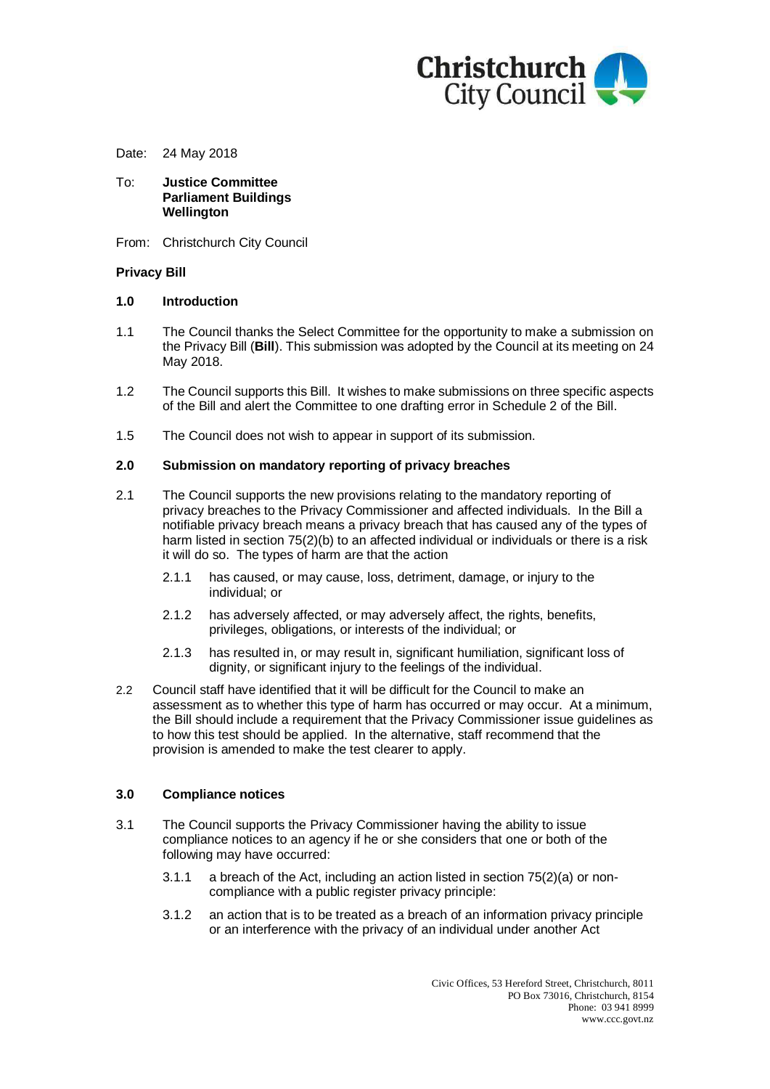

Date: 24 May 2018

- To: **Justice Committee Parliament Buildings Wellington**
- From: Christchurch City Council

#### **Privacy Bill**

### **1.0 Introduction**

- 1.1 The Council thanks the Select Committee for the opportunity to make a submission on the Privacy Bill (**Bill**). This submission was adopted by the Council at its meeting on 24 May 2018.
- 1.2 The Council supports this Bill. It wishes to make submissions on three specific aspects of the Bill and alert the Committee to one drafting error in Schedule 2 of the Bill.
- 1.5 The Council does not wish to appear in support of its submission.

### **2.0 Submission on mandatory reporting of privacy breaches**

- 2.1 The Council supports the new provisions relating to the mandatory reporting of privacy breaches to the Privacy Commissioner and affected individuals. In the Bill a notifiable privacy breach means a privacy breach that has caused any of the types of harm listed in section 75(2)(b) to an affected individual or individuals or there is a risk it will do so. The types of harm are that the action
	- 2.1.1 has caused, or may cause, loss, detriment, damage, or injury to the individual; or
	- 2.1.2 has adversely affected, or may adversely affect, the rights, benefits, privileges, obligations, or interests of the individual; or
	- 2.1.3 has resulted in, or may result in, significant humiliation, significant loss of dignity, or significant injury to the feelings of the individual.
- 2.2 Council staff have identified that it will be difficult for the Council to make an assessment as to whether this type of harm has occurred or may occur. At a minimum, the Bill should include a requirement that the Privacy Commissioner issue guidelines as to how this test should be applied. In the alternative, staff recommend that the provision is amended to make the test clearer to apply.

#### **3.0 Compliance notices**

- 3.1 The Council supports the Privacy Commissioner having the ability to issue compliance notices to an agency if he or she considers that one or both of the following may have occurred:
	- 3.1.1 a breach of the Act, including an action listed in section 75(2)(a) or noncompliance with a public register privacy principle:
	- 3.1.2 an action that is to be treated as a breach of an information privacy principle or an interference with the privacy of an individual under another Act